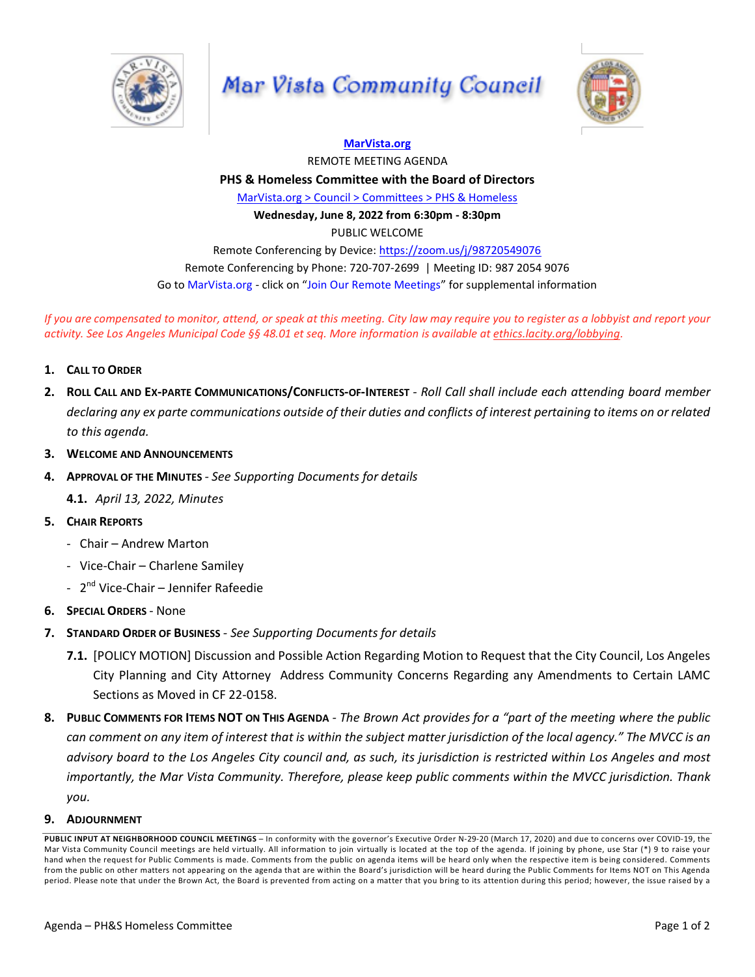

## Mar Vista Community Council

**[MarVista.org](http://marvista.org/)**



REMOTE MEETING AGENDA **PHS & Homeless Committee with the Board of Directors** [MarVista.org](https://www.marvista.org/committees/viewCommittee/homeless-issues-subcommittee) > Council > Committees > PHS & Homeless **Wednesday, June 8, 2022 from 6:30pm - 8:30pm** PUBLIC WELCOME Remote Conferencing by Device: <https://zoom.us/j/98720549076> Remote Conferencing by Phone: 720-707-2699 | Meeting ID: 987 2054 9076 Go to MarVista.org - click on "Join Our Remote Meetings" for supplemental information

If you are compensated to monitor, attend, or speak at this meeting. City law may require you to register as a lobbyist and report your activity. See Los Angeles Municipal Code §§ 48.01 et seq. More information is available at [ethics.lacity.org/lobbying.](http://ethics.lacity.org/lobbying)

- **1. CALL TO ORDER**
- 2. ROLL CALL AND EX-PARTE COMMUNICATIONS/CONFLICTS-OF-INTEREST Roll Call shall include each attending board member declaring any ex parte communications outside of their duties and conflicts of interest pertaining to items on or related *to this agenda.*
- **3. WELCOME AND ANNOUNCEMENTS**
- **4. APPROVAL OF THE MINUTES** *- See Supporting Documents for details*

**4.1.** *April 13, 2022, Minutes*

- **5. CHAIR REPORTS**
	- Chair Andrew Marton
	- Vice-Chair Charlene Samiley
	- 2<sup>nd</sup> Vice-Chair Jennifer Rafeedie
- **6. SPECIAL ORDERS** None
- **7. STANDARD ORDER OF BUSINESS** *- See Supporting Documents for details*
	- **7.1.** [POLICY MOTION] Discussion and Possible Action Regarding Motion to Request that the City Council, Los Angeles City Planning and City Attorney Address Community Concerns Regarding any Amendments to Certain LAMC Sections as Moved in CF 22-0158.
- 8. PUBLIC COMMENTS FOR ITEMS NOT ON THIS AGENDA The Brown Act provides for a "part of the meeting where the public can comment on any item of interest that is within the subject matter jurisdiction of the local agency." The MVCC is an advisory board to the Los Angeles City council and, as such, its jurisdiction is restricted within Los Angeles and most *importantly, the Mar Vista Community. Therefore, please keep public comments within the MVCC jurisdiction. Thank you.*

## **9. ADJOURNMENT**

**PUBLIC INPUT AT NEIGHBORHOOD COUNCIL MEETINGS** – In conformity with the governor's Executive Order N-29-20 (March 17, 2020) and due to concerns over COVID-19, the Mar Vista Community Council meetings are held virtually. All information to join virtually is located at the top of the agenda. If joining by phone, use Star (\*) 9 to raise your hand when the request for Public Comments is made. Comments from the public on agenda items will be heard only when the respective item is being considered. Comments from the public on other matters not appearing on the agenda that are within the Board's jurisdiction will be heard during the Public Comments for Items NOT on This Agenda period. Please note that under the Brown Act, the Board is prevented from acting on a matter that you bring to its attention during this period; however, the issue raised by a